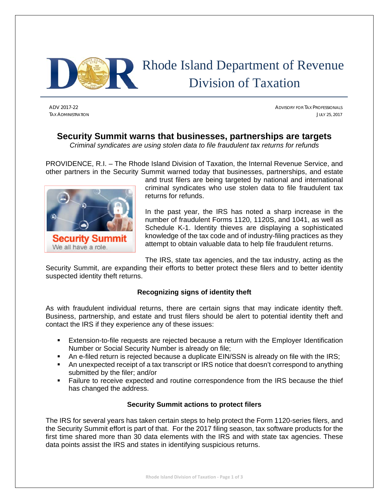

# Rhode Island Department of Revenue Division of Taxation

ADV 2017-22 ADVISORY FOR TAX PROFESSIONALS TAX ADMINISTRATION JULY 25, 2017

# **Security Summit warns that businesses, partnerships are targets**

*Criminal syndicates are using stolen data to file fraudulent tax returns for refunds*

PROVIDENCE, R.I. – The Rhode Island Division of Taxation, the Internal Revenue Service, and other partners in the Security Summit warned today that businesses, partnerships, and estate



and trust filers are being targeted by national and international criminal syndicates who use stolen data to file fraudulent tax returns for refunds.

In the past year, the IRS has noted a sharp increase in the number of fraudulent Forms 1120, 1120S, and 1041, as well as Schedule K-1. Identity thieves are displaying a sophisticated knowledge of the tax code and of industry-filing practices as they attempt to obtain valuable data to help file fraudulent returns.

The IRS, state tax agencies, and the tax industry, acting as the

Security Summit, are expanding their efforts to better protect these filers and to better identity suspected identity theft returns.

## **Recognizing signs of identity theft**

As with fraudulent individual returns, there are certain signs that may indicate identity theft. Business, partnership, and estate and trust filers should be alert to potential identity theft and contact the IRS if they experience any of these issues:

- Extension-to-file requests are rejected because a return with the Employer Identification Number or Social Security Number is already on file;
- An e-filed return is rejected because a duplicate EIN/SSN is already on file with the IRS;
- An unexpected receipt of a tax transcript or IRS notice that doesn't correspond to anything submitted by the filer; and/or
- Failure to receive expected and routine correspondence from the IRS because the thief has changed the address.

## **Security Summit actions to protect filers**

The IRS for several years has taken certain steps to help protect the Form 1120-series filers, and the Security Summit effort is part of that. For the 2017 filing season, tax software products for the first time shared more than 30 data elements with the IRS and with state tax agencies. These data points assist the IRS and states in identifying suspicious returns.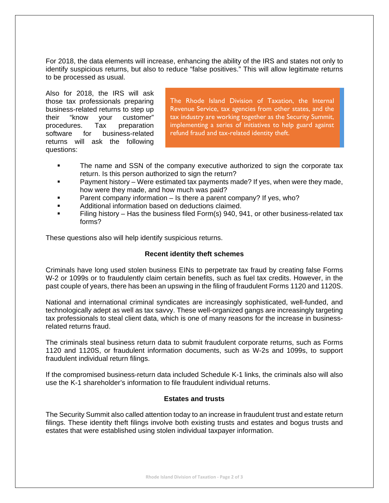For 2018, the data elements will increase, enhancing the ability of the IRS and states not only to identify suspicious returns, but also to reduce "false positives." This will allow legitimate returns to be processed as usual.

Also for 2018, the IRS will ask those tax professionals preparing business-related returns to step up their "know your customer" procedures. Tax preparation software for business-related returns will ask the following questions:

The Rhode Island Division of Taxation, the Internal Revenue Service, tax agencies from other states, and the tax industry are working together as the Security Summit, implementing a series of initiatives to help guard against refund fraud and tax-related identity theft.

- The name and SSN of the company executive authorized to sign the corporate tax return. Is this person authorized to sign the return?
- **Payment history Were estimated tax payments made? If yes, when were they made,** how were they made, and how much was paid?
- **Parent company information Is there a parent company? If yes, who?**
- **Additional information based on deductions claimed.**
- Filing history Has the business filed Form(s) 940, 941, or other business-related tax forms?

These questions also will help identify suspicious returns.

#### **Recent identity theft schemes**

Criminals have long used stolen business EINs to perpetrate tax fraud by creating false Forms W-2 or 1099s or to fraudulently claim certain benefits, such as fuel tax credits. However, in the past couple of years, there has been an upswing in the filing of fraudulent Forms 1120 and 1120S.

National and international criminal syndicates are increasingly sophisticated, well-funded, and technologically adept as well as tax savvy. These well-organized gangs are increasingly targeting tax professionals to steal client data, which is one of many reasons for the increase in businessrelated returns fraud.

The criminals steal business return data to submit fraudulent corporate returns, such as Forms 1120 and 1120S, or fraudulent information documents, such as W-2s and 1099s, to support fraudulent individual return filings.

If the compromised business-return data included Schedule K-1 links, the criminals also will also use the K-1 shareholder's information to file fraudulent individual returns.

#### **Estates and trusts**

The Security Summit also called attention today to an increase in fraudulent trust and estate return filings. These identity theft filings involve both existing trusts and estates and bogus trusts and estates that were established using stolen individual taxpayer information.